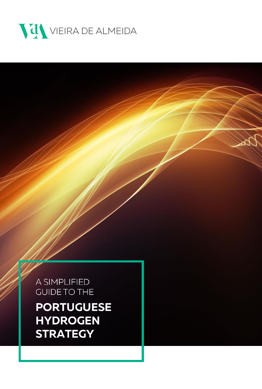

A SIMPLIFIED **GUIDE TO THE** 

**PORTUGUESE HYDROGEN STRATEGY**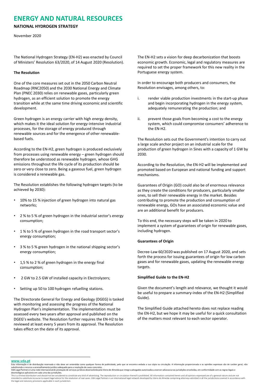# **ENERGY AND NATURAL RESOURCES**

## **NATIONAL HYDROGEN STRATEGY**

### November 2020

The National Hydrogen Strategy (EN-H2) was enacted by Council of Ministers' Resolution 63/2020, of 14 August 2020 (Resolution).

#### **The Resolution**

One of the core measures set out in the 2050 Carbon Neutral Roadmap (RNC2050) and the 2030 National Energy and Climate Plan (PNEC 2030) relies on renewable gases, particularly green hydrogen, as an efficient solution to promote the energy transition while at the same time driving economic and scientific development.

Green hydrogen is an energy carrier with high energy density, which makes it the ideal solution for energy-intensive industrial processes, for the storage of energy produced through renewable sources and for the emergence of other renewablebased fuels.

According to the EN-H2, green hydrogen is produced exclusively from processes using renewable energy – green hydrogen should therefore be understood as renewable hydrogen, whose GHG emissions throughout the life cycle of its production should be zero or very close to zero. Being a gaseous fuel, green hydrogen is considered a renewable gas.

The Resolution establishes the following hydrogen targets (to be achieved by 2030):

- 10% to 15 % injection of green hydrogen into natural gas networks;
- 2 % to 5 % of green hydrogen in the industrial sector's energy consumption;
- 1% to 5% of green hydrogen in the road transport sector's energy consumption;
- 3 % to 5 % green hydrogen in the national shipping sector's energy consumption;
- 1,5 % to 2 % of green hydrogen in the energy final consumption;
- 2 GW to 2.5 GW of installed capacity in Electrolyzers;
- Setting up 50 to 100 hydrogen refuelling stations.

The Directorate General for Energy and Geology (DGEG) is tasked with monitoring and assessing the progress of the National Hydrogen Plan's implementation. The implementation must be assessed every two years after approval and published on the DGEG's website. The Resolution further requires the EN-H2 to be reviewed at least every 5 years from its approval. The Resolution takes effect on the date of its approval.

The EN-H2 sets a vision for deep decarbonization that boosts economic growth. Economic, legal and regulatory measures are required to set the proper framework for this new reality in the Portuguese energy system.

In order to encourage both producers and consumers, the Resolution envisages, among others, to:

- i. render viable production investments in the start-up phase and begin incorporating hydrogen in the energy system, adequately remunerating the production; and
- ii. prevent those goals from becoming a cost to the energy system, which could compromise consumers' adherence to the EN-H2.

The Resolution sets out the Government's intention to carry out a large scale anchor project on an industrial scale for the production of green hydrogen in Sines with a capacity of 1 GW by 2030.

According to the Resolution, the EN-H2 will be implemented and promoted based on European and national funding and support mechanisms.

Guarantees of Origin (GO) could also be of enormous relevance as they create the conditions for producers, particularly smaller ones, to sell their renewable energy in the market. Besides contributing to promote the production and consumption of renewable energy, GOs have an associated economic value and are an additional benefit for producers.

To this end, the necessary steps will be taken in 2020 to implement a system of guarantees of origin for renewable gases, including hydrogen.

### **Guarantees of Origin**

Decree-Law 60/2020 was published on 17 August 2020, and sets forth the process for issuing guarantees of origin for low carbon gases and for renewable gases, updating the renewable energy targets.

### **Simplified Guide to the EN-H2**

Given the document's length and relevance, we thought it would be useful to prepare a summary-index of the EN-H2 (Simplified Guide).

The Simplified Guide attached hereto does not replace reading the EN-H2, but we hope it may be useful for a quick consultation of the matters most relevant to each sector operator.

#### **[www.vda.pt](http://www.vda.pt/)**

This is a limited distribution and should not be considered to constitute any kind of advertising. The reproduction or circulation thereof is prohibited. All information contained herein and all opinions expressed are of a

Esta informação é de distribuição reservada e não deve ser entendida como qualquer forma de publicidade, pelo que se encontra vedada a sua cópia ou circulação. A informação proporcionada e as opiniões expressas são de cará

deontológicas aplicáveis em cada uma das jurisdições.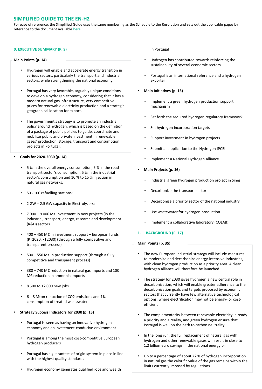# **SIMPLIFIED GUIDE TO THE EN-H2**

For ease of reference, the Simplified Guide uses the same numbering as the Schedule to the Resolution and sets out the applicable pages by reference to the document available here.

### **0. EXECUTIVE SUMMARY (P. 9)**

#### **Main Points (p. 14)**

- Hydrogen will enable and accelerate energy transition in various sectors, particularly the transport and industrial sectors, while strengthening the national economy.
- Portugal has very favorable, arguably unique conditions to develop a hydrogen economy, considering that it has a modern natural gas infrastructure, very competitive prices for renewable electricity production and a strategic geographical location for export.
- The government's strategy is to promote an industrial policy around hydrogen, which is based on the definition of a package of public policies to guide, coordinate and mobilize public and private investment in renewable gases' production, storage, transport and consumption projects in Portugal.

#### • **Goals for 2020-2030 (p. 14)**

- 5 % in the overall energy consumption, 5 % in the road transport sector's consumption, 5 % in the industrial sector's consumption and 10 % to 15 % injection in natural gas networks;
- 50 100 refuelling stations;
- 2 GW 2.5 GW capacity in Electrolyzers;
- 7 000 9 000 M€ investment in new projects (in the industrial, transport, energy, research and development (R&D) sectors
- 400 450 M€ in investment support European funds (PT2020, PT2030) (through a fully competitive and transparent process)
- 500 550 M€ in production support (through a fully competitive and transparent process)
- 380 740 M€ reduction in natural gas imports and 180 M€ reduction in ammonia imports
- 8 500 to 12 000 new jobs
- 6 8 Mton reduction of CO2 emissions and 1% consumption of treated wastewater
- **Strategy Success Indicators for 2030 (p. 15)**
	- Portugal is seen as having an innovative hydrogen economy and an investment-conducive environment
	- Portugal is among the most cost-competitive European hydrogen producers
	- Portugal has a guarantees of origin system in place in line with the highest quality standards
	- Hydrogen economy generates qualified jobs and wealth

### in Portugal

- Hydrogen has contributed towards reinforcing the sustainability of several economic sectors
- Portugal is an international reference and a hydrogen exporter
- **Main Initiatives (p. 15)**
	- Implement a green hydrogen production support mechanism
	- Set forth the required hydrogen regulatory framework
	- Set hydrogen incorporation targets
	- Support investment in hydrogen projects
	- Submit an application to the Hydrogen IPCEI
	- Implement a National Hydrogen Alliance
- **Main Projects (p. 16)**
	- Industrial green hydrogen production project in Sines
	- Decarbonize the transport sector
	- Decarbonize a priority sector of the national industry
	- Use wastewater for hydrogen production
	- Implement a collaborative laboratory (COLAB)
- **1. BACKGROUND (P. 17)**

#### **Main Points (p. 35)**

- The new European industrial strategy will include measures to modernize and decarbonize energy-intensive industries, with clean hydrogen production as a priority area. A clean hydrogen alliance will therefore be launched
- The strategy for 2030 gives hydrogen a new central role in decarbonization, which will enable greater adherence to the decarbonization goals and targets proposed by economic sectors that currently have few alternative technological options, where electrification may not be energy- or costefficient
- The complementarity between renewable electricity, already a priority and a reality, and green hydrogen ensure that Portugal is well on the path to carbon neutrality
- In the long run, the full replacement of natural gas with hydrogen and other renewable gases will result in close to 1.2 billion euro savings in the national energy bill
- Up to a percentage of about 22 % of hydrogen incorporation in natural gas the calorific value of the gas remains within the limits currently imposed by regulations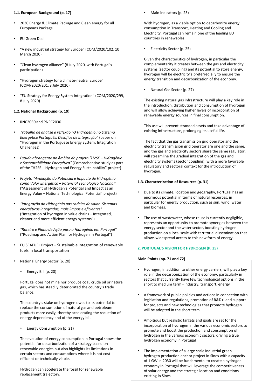### **1.1. European Background (p. 17)**

- 2030 Energy & Climate Package and Clean energy for all Europeans Package
- EU Green Deal
- "A new industrial strategy for Europe" (COM/2020/102, 10 March 2020)
- "Clean hydrogen alliance" (8 July 2020, with Portugal's participation)
- "Hydrogen strategy for a climate-neutral Europe" (COM/2020/201, 8 July 2020)
- "EU Strategy for Energy System Integration" (COM/2020/299, 8 July 2020)

# **1.2. National Background (p. 19)**

- RNC2050 and PNEC2030
- *Trabalho de análise e reflexão "O Hidrogénio no Sistema Energético Português: Desafios de Integração"* (paper on "Hydrogen in the Portuguese Energy System: Integration Challenges)
- *Estudo abrangente no âmbito do projeto "H2SE – Hidrogénio e Sustentabilidade Energética"* (Comprehensive study as part of the "H2SE – Hydrogen and Energy Sustainability" project)
- *Projeto "Avaliação do Potencial e Impacto do Hidrogénio como Valor Energético – Potencial Tecnológico Nacional"*  ("Assessment of Hydrogen's Potential and Impact as an Energy Value – National Technological Potential" project)
- *"Integração do Hidrogénio nas cadeias de valor- Sistemas energéticos integrados, mais limpos e eficientes"* ("Integration of hydrogen in value chains – Integrated, cleaner and more efficient energy systems")
- *"Roteiro e Plano de Ação para o Hidrogénio em Portugal"*  ("Roadmap and Action Plan for Hydrogen in Portugal")
- EU SEAFUEL Project Sustainable integration of renewable fuels in local transportation
- National Energy Sector (p. 20)
	- Energy Bill (p. 20)

Portugal does not mine nor produce coal, crude oil or natural gas, which has steadily deteriorated the country's trade balance.

The country's stake on hydrogen owes to its potential to replace the consumption of natural gas and petroleum products more easily, thereby accelerating the reduction of energy dependency and of the energy bill.

• Energy Consumption (p. 21)

The evolution of energy consumption in Portugal shows the potential for decarbonization of a strategy based on renewable energies but also highlights its limitations in certain sectors and consumptions where it is not costefficient or technically viable.

Hydrogen can accelerate the fossil for renewable replacement trajectory.

• Main indicators (p. 23)

With hydrogen, as a viable option to decarbonize energy consumption in Transport, Heating and Cooling and Electricity, Portugal can remain one of the leading EU countries in renewables.

• Electricity Sector (p. 25)

Given the characteristics of hydrogen, in particular the complementarity it creates between the gas and electricity systems (sector coupling) and its potential to store energy, hydrogen will be electricity's preferred ally to ensure the energy transition and decarbonization of the economy.

• Natural Gas Sector (p. 27)

The existing natural gas infrastructure will play a key role in the introduction, distribution and consumption of hydrogen and will allow achieving higher levels of incorporation of renewable energy sources in final consumption.

This use will prevent stranded assets and take advantage of existing infrastructure, prolonging its useful life.

The fact that the gas transmission grid operator and the electricity transmission grid operator are one and the same, and the gas and electricity sectors share the same regulator, will streamline the gradual integration of the gas and electricity systems (sector coupling), with a more favorable regulatory and sectoral context for the introduction of hydrogen.

# **1.3. Characterization of Resources (p. 31)**

- Due to its climate, location and geography, Portugal has an enormous potential in terms of natural resources, in particular for energy production, such as sun, wind, water and biomass.
- The use of wastewater, whose reuse is currently negligible, represents an opportunity to promote synergies between the energy sector and the water sector, boosting hydrogen production on a local scale with territorial dissemination that allows widespread access to this new form of energy.

# **2. PORTUGAL'S VISION FOR HYDROGEN (P. 35)**

# **Main Points (pp. 71 and 72)**

- Hydrogen, in addition to other energy carriers, will play a key role in the decarbonization of the economy, particularly in sectors that currently have few technological options in the short to medium term - industry, transport, energy
- A framework of public policies and actions in connection with legislation and regulations, promotion of R&D+I and support for projects and new technologies that promote hydrogen will be adopted in the short term
- Ambitious but realistic targets and goals are set for the incorporation of hydrogen in the various economic sectors to promote and boost the production and consumption of hydrogen in the various economic sectors, driving a true hydrogen economy in Portugal
- The implementation of a large scale industrial green hydrogen production anchor project in Sines with a capacity of 1 GW in 2030 will be fundamental to create a hydrogen economy in Portugal that will leverage the competitiveness of solar energy and the strategic location and conditions existing in Sines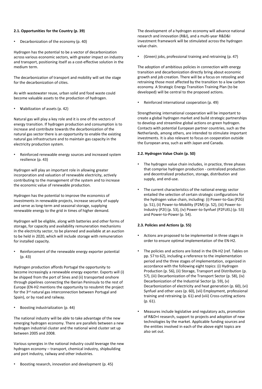### **2.1. Opportunities for the Country (p. 39)**

• Decarbonization of the economy (p. 40)

Hydrogen has the potential to be a vector of decarbonization across various economic sectors, with greater impact on industry and transport, positioning itself as a cost-effective solution in the medium term.

The decarbonization of transport and mobility will set the stage for the decarbonization of cities.

As with wastewater reuse, urban solid and food waste could become valuable assets to the production of hydrogen.

• **V**iabilization of assets (p. 42)

Natural gas will play a key role and it is one of the vectors of energy transition. If hydrogen production and consumption is to increase and contribute towards the decarbonization of the natural gas sector there is an opportunity to enable the existing natural gas infrastructure and to maintain gas capacity in the electricity production system.

Reinforced renewable energy sources and increased system resilience (p. 43)

Hydrogen will play an important role in allowing greater incorporation and valuation of renewable electricity, actively contributing to the management of the system and to increase the economic value of renewable production.

Hydrogen has the potential to improve the economics of investments in renewable projects, increase security of supply and serve as long-term and seasonal storage, supplying renewable energy to the grid in times of higher demand.

Hydrogen will be eligible, along with batteries and other forms of storage, for capacity and availability remuneration mechanisms in the electricity sector, to be planned and available at an auction to be held in 2020, which will include storage with remuneration for installed capacity.

Reinforcement of the renewable energy exporter potential (p. 43)

Hydrogen production affords Portugal the opportunity to become increasingly a renewable energy exporter. Exports will (i) be shipped from the port of Sines and (ii) transported onshore through pipelines connecting the Iberian Peninsula to the rest of Europe (EN-H2 mentions the opportunity to resubmit the project for the 3rd natural gas interconnection between Portugal and Spain), or by road and railway.

• Boosting industrialization (p. 44)

The national industry will be able to take advantage of the new emerging hydrogen economy. There are parallels between a new hydrogen industrial cluster and the national wind cluster set up between 2005 and 2008.

Various synergies in the national industry could leverage the new hydrogen economy – transport, chemical industry, shipbuilding and port industry, railway and other industries.

• Boosting research, innovation and development (p. 45)

The development of a hydrogen economy will advance national research and innovation (R&I), and a multi-year R&D&I investment framework will be stimulated across the hydrogen value chain.

• (Green) jobs, professional training and retraining (p. 47)

The adoption of ambitious policies in connection with energy transition and decarbonization directly bring about economic growth and job creation. There will be a focus on retooling and retraining those most affected by the transition to a low carbon economy. A Strategic Energy Transition Training Plan (to be developed) will be central to the proposed actions.

• Reinforced international cooperation (p. 49)

Strengthening international cooperation will be important to create a global hydrogen market and build strategic partnerships to develop and streamline global actions on green hydrogen. Contacts with potential European partner countries, such as the Netherlands, among others, are intended to stimulate important investments. It is also relevant to focus on cooperation outside the European area, such as with Japan and Canada.

### **2.2. Hydrogen Value Chain (p. 50)**

- The hydrogen value chain includes, in practice, three phases that comprise hydrogen production - centralized production and decentralized production, storage, distribution and supply, and end-use.
- The current characteristics of the national energy sector entailed the selection of certain strategic configurations for the hydrogen value chain, including: (i) Power-to-Gas (P2G) (p. 51), (ii) Power-to-Mobility (P2M) (p. 52), (iii) Power-to-Industry (P2I) (p. 53), (iv) Power-to-Synfuel (P2FUEL) (p. 53) and Power-to-Power (p. 54).

## **2.3. Policies and Actions (p. 55)**

- Actions are proposed to be implemented in three stages in order to ensure optimal implementation of the EN-H2.
- The policies and actions are listed in the EN-H2 (ref. Tables on pp. 57 to 62), including a reference to the implementation period and the three stages of implementation, organized in accordance with the following eight topics: (i) Hydrogen Production (p. 56), (ii) Storage, Transport and Distribution (p. 57), (iii) Decarbonization of the Transport Sector (p. 58), (iv) Decarbonization of the Industrial Sector (p. 59), (v) Decarbonization of electricity and heat generation (p. 60), (vi) Synfuel and other uses (p. 60), (vii) Employment, professional training and retraining (p. 61) and (viii) Cross-cutting actions (p. 61).
- Measures include legislative and regulatory acts, promotion of R&D+I research, support to projects and adoption of new technologies by the market. Applicable funding sources and the entities involved in each of the above eight topics are also set out.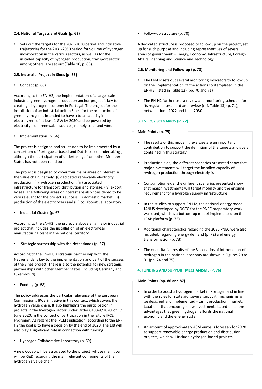### **2.4. National Targets and Goals (p. 62)**

Sets out the targets for the 2021-2030 period and indicative trajectories for the 2031-2050 period for volume of hydrogen incorporation in the various sectors, as well as for the installed capacity of hydrogen production, transport sector, among others, are set out (Table 10, p. 63).

### **2.5. Industrial Project in Sines (p. 63)**

• Concept (p. 63)

According to the EN-H2, the implementation of a large scale industrial green hydrogen production anchor project is key to creating a hydrogen economy in Portugal. The project for the installation of an industrial unit in Sines for the production of green hydrogen is intended to have a total capacity in electrolyzers of at least 1 GW by 2030 and be powered by electricity from renewable sources, namely solar and wind.

• Implementation (p. 66)

The project is designed and structured to be implemented by a consortium of Portuguese-based and Dutch-based undertakings, although the participation of undertakings from other Member States has not been ruled out.

The project is designed to cover four major areas of interest in the value chain, namely: (i) dedicated renewable electricity production, (ii) hydrogen production, (iii) associated infrastructure for transport, distribution and storage, (iv) export by sea. The following areas of interest are also considered to be very relevant for the project's success: (i) domestic market, (ii) production of the electrolyzers and (iii) collaborative laboratory.

• Industrial Cluster (p. 67)

According to the EN-H2, the project is above all a major industrial project that includes the installation of an electrolyzer manufacturing plant in the national territory.

• Strategic partnership with the Netherlands (p. 67)

According to the EN-H2, a strategic partnership with the Netherlands is key to the implementation and part of the success of the Sines project. There is also the potential for new strategic partnerships with other Member States, including Germany and Luxembourg.

• Funding (p. 68)

The policy addresses the particular relevance of the European Commission's IPCEI initiative in this context, which covers the hydrogen value chain. It also highlights the participation in projects in the hydrogen sector under Order 6403-A/2020, of 17 June 2020, in the context of participation in the future IPCEI Hydrogen. As regards the IPCEI application, according to the EN-H2 the goal is to have a decision by the end of 2020. The EIB will also play a significant role in connection with funding.

• Hydrogen Collaborative Laboratory (p. 69)

A new CoLab will be associated to the project, whose main goal will be R&D regarding the main relevant components of the hydrogen's value chain.

• Follow-up Structure (p. 70)

A dedicated structure is proposed to follow up on the project, set up for such purpose and including representatives of several areas of government – Energy, Economy, Infrastructure, Foreign Affairs, Planning and Science and Technology.

### **2.6. Monitoring and Follow-up (p. 70)**

- The EN-H2 sets out several monitoring Indicators to follow up on the implementation of the actions contemplated in the EN-H2 (listed in Table 12) (pp. 70 and 71)
- The EN-H2 further sets a review and monitoring schedule for its regular assessment and review (ref. Table 13) (p. 71), between June 2022 and June 2030.

## **3. ENERGY SCENARIOS (P. 72)**

### **Main Points (p. 75)**

- The results of this modeling exercise are an important contribution to support the definition of the targets and goals contained in this strategy
- Production-side, the different scenarios presented show that major investments will target the installed capacity of hydrogen production through electrolysis
- Consumption-side, the different scenarios presented show that major investments will target mobility and the ensuing requirement for a hydrogen supply infrastructure
- In the studies to support EN-H2, the national energy model JANUS developed by DGEG for the PNEC preparatory work was used, which is a bottom-up model implemented on the LEAP platform (p. 72)
- Additional characteristics regarding the 2030 PNEC were also included, regarding energy demand (p. 72) and energy transformation (p. 73)
- The quantitative results of the 3 scenarios of introduction of hydrogen in the national economy are shown in Figures 29 to 31 (pp. 74 and 75)

## **4. FUNDING AND SUPPORT MECHANISMS (P. 76)**

### **Main Points (pp. 86 and 87)**

- In order to boost a hydrogen market in Portugal, and in line with the rules for state aid, several support mechanisms will be designed and implemented - tariff, production, market, taxation - that encourage new investments based on all the advantages that green hydrogen affords the national economy and the energy system
- An amount of approximately 40M euros is foreseen for 2020 to support renewable energy production and distribution projects, which will include hydrogen-based projects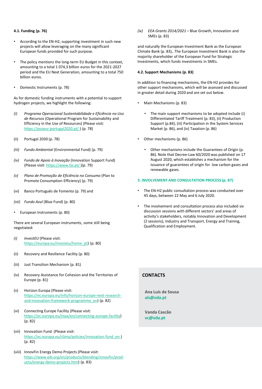### **4.1. Funding (p. 76)**

- According to the EN-H2, supporting investment in such new projects will allow leveraging on the many significant European funds provided for such purpose.
- The policy mentions the long-term EU Budget in this context, amounting to a total 1 074,3 billion euros for the 2021-2027 period and the EU Next Generation, amounting to a total 750 billion euros.
- Domestic Instruments (p. 78)

As for domestic funding instruments with a potential to support hydrogen projects, we highlight the following:

- *(i) Programa Operacional Sustentabilidade e Eficiência no Uso de Recursos* (Operational Program for Sustainability and Efficiency in the Use of Resources) (Please visit: https://poseur.portugal2020.pt/) (p. 78)
- (ii) Portugal 2030 (p. 78)
- *(iii) Fundo Ambiental* (Environmental Fund) (p. 79)
- *(iv) Fundo de Apoio à Inovação* (Innovation Support Fund) (Please visit: <https://www.fai.pt/>)(p. 79)
- *(v) Plano de Promoção de Eficiência no Consumo* (Plan to Promote Consumption Efficiency) (p. 79)
- (vi) Banco Português de Fomento (p. 79) and
- *(vii) Fundo Azul* (Blue Fund) (p. 80)
- European Instruments (p. 80)

There are several European instruments, some still being negotiated:

- *(i) InvestEU* (Please visit: [https://europa.eu/investeu/home\\_pt\)](https://europa.eu/investeu/home_pt) (p. 80)
- (ii) Recovery and Resilience Facility (p. 80)
- (iii) Just Transition Mechanism (p. 81)
- (iv) Recovery Assistance for Cohesion and the Territories of Europe (p. 81)
- (v) Horizon Europa (Please visit: [https://ec.europa.eu/info/horizon-europe-next-research](https://ec.europa.eu/info/horizon-europe-next-research-and-innovation-framework-programme_en)and-innovation-framework-programme\_en) (p. 82)
- (vi) Connecting Europe Facility (Please visit: <https://ec.europa.eu/inea/en/connecting-europe-facility>) (p. 82)
- (vii) Innovation Fund (Please visit: [https://ec.europa.eu/clima/policies/innovation-fund\\_en \)](https://ec.europa.eu/clima/policies/innovation-fund_en) (p. 82)
- ucts/energy-demo-projects.htm) (p. 83)  $\frac{1}{2}$  and  $\frac{1}{2}$  are  $\frac{1}{2}$  and  $\frac{1}{2}$  are  $\frac{1}{2}$ (viii) InnovFin Energy Demo Projects (Please visit: [https://www.eib.org/en/products/blending/innovfin/prod](https://www.eib.org/en/products/blending/innovfin/products/energy-demo-projects.htm)

*(ix) EEA Grants 2014/2021* – Blue Growth, Innovation and SMEs (p. 83)

and naturally the European Investment Bank as the European Climate Bank (p. 83),. The European Investment Bank is also the majority shareholder of the European Fund for Strategic Investments, which funds investments in SMEs.

#### **4.2. Support Mechanisms (p. 83)**

In addition to financing mechanisms, the EN-H2 provides for other support mechanisms, which will be assessed and discussed in greater detail during 2020 and are set out below.

- Main Mechanisms (p. 83)
	- The main support mechanisms to be adopted include (i) Differentiated Tariff Treatment (p. 83), (ii) Production Support (p.84), (iii) Participation in the System Services Market (p. 86), and (iv) Taxation (p. 86)
- Other mechanisms (p. 86)
	- Other mechanisms include the Guarantees of Origin (p. 86). Note that Decree-Law 60/2020 was published on 17 August 2020, which establishes a mechanism for the issuance of guarantees of origin for low carbon gases and renewable gases.

### **5. INVOLVEMENT AND CONSULTATION PROCESS (p. 87)**

- The EN-H2 public consultation process was conducted over 45 days, between 22 May and 6 July 2020.
- The involvement and consultation process also included six discussion sessions with different sectors' and areas of activity's stakeholders, notably Innovation and Development (2 sessions), Industry and Transport, Energy and Training, Qualification and Employment.

# **CONTACTS**

**Ana Luís de Sousa als@vda.pt**

**Vanda Cascão vc@vda.pt**